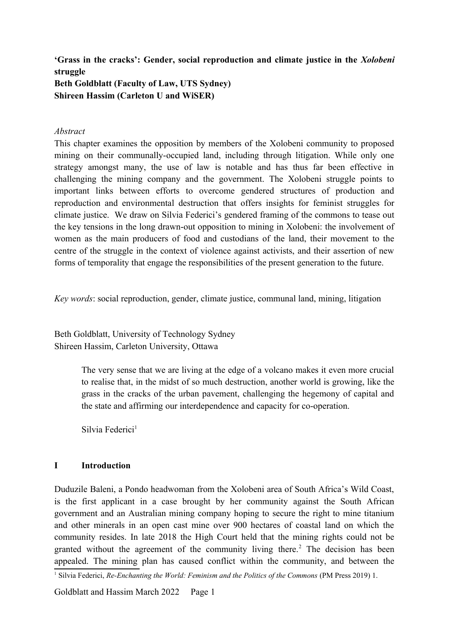**'Grass in the cracks': Gender, social reproduction and climate justice in the** *Xolobeni* **struggle Beth Goldblatt (Faculty of Law, UTS Sydney) Shireen Hassim (Carleton U and WiSER)**

## *Abstract*

This chapter examines the opposition by members of the Xolobeni community to proposed mining on their communally-occupied land, including through litigation. While only one strategy amongst many, the use of law is notable and has thus far been effective in challenging the mining company and the government. The Xolobeni struggle points to important links between efforts to overcome gendered structures of production and reproduction and environmental destruction that offers insights for feminist struggles for climate justice. We draw on Silvia Federici's gendered framing of the commons to tease out the key tensions in the long drawn-out opposition to mining in Xolobeni: the involvement of women as the main producers of food and custodians of the land, their movement to the centre of the struggle in the context of violence against activists, and their assertion of new forms of temporality that engage the responsibilities of the present generation to the future.

*Key words*: social reproduction, gender, climate justice, communal land, mining, litigation

Beth Goldblatt, University of Technology Sydney Shireen Hassim, Carleton University, Ottawa

> The very sense that we are living at the edge of a volcano makes it even more crucial to realise that, in the midst of so much destruction, another world is growing, like the grass in the cracks of the urban pavement, challenging the hegemony of capital and the state and affirming our interdependence and capacity for co-operation.

<span id="page-0-0"></span>Silvia Federici<sup>[1](#page-0-1)</sup>

## **I Introduction**

Duduzile Baleni, a Pondo headwoman from the Xolobeni area of South Africa's Wild Coast, is the first applicant in a case brought by her community against the South African government and an Australian mining company hoping to secure the right to mine titanium and other minerals in an open cast mine over 900 hectares of coastal land on which the community resides. In late 2018 the High Court held that the mining rights could not be granted without the agreement of the community living there.<sup>[2](#page-1-0)</sup> The decision has been appealed. The mining plan has caused conflict within the community, and between the

<span id="page-0-2"></span><span id="page-0-1"></span>[<sup>1</sup>](#page-0-0) Silvia Federici, *Re-Enchanting the World: Feminism and the Politics of the Commons* (PM Press 2019) 1.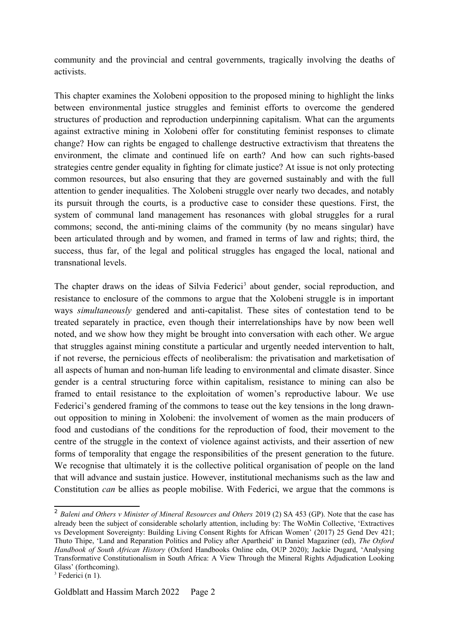community and the provincial and central governments, tragically involving the deaths of activists.

This chapter examines the Xolobeni opposition to the proposed mining to highlight the links between environmental justice struggles and feminist efforts to overcome the gendered structures of production and reproduction underpinning capitalism. What can the arguments against extractive mining in Xolobeni offer for constituting feminist responses to climate change? How can rights be engaged to challenge destructive extractivism that threatens the environment, the climate and continued life on earth? And how can such rights-based strategies centre gender equality in fighting for climate justice? At issue is not only protecting common resources, but also ensuring that they are governed sustainably and with the full attention to gender inequalities. The Xolobeni struggle over nearly two decades, and notably its pursuit through the courts, is a productive case to consider these questions. First, the system of communal land management has resonances with global struggles for a rural commons; second, the anti-mining claims of the community (by no means singular) have been articulated through and by women, and framed in terms of law and rights; third, the success, thus far, of the legal and political struggles has engaged the local, national and transnational levels.

<span id="page-1-1"></span>The chapter draws on the ideas of Silvia Federici<sup>[3](#page-1-2)</sup> about gender, social reproduction, and resistance to enclosure of the commons to argue that the Xolobeni struggle is in important ways *simultaneously* gendered and anti-capitalist. These sites of contestation tend to be treated separately in practice, even though their interrelationships have by now been well noted, and we show how they might be brought into conversation with each other. We argue that struggles against mining constitute a particular and urgently needed intervention to halt, if not reverse, the pernicious effects of neoliberalism: the privatisation and marketisation of all aspects of human and non-human life leading to environmental and climate disaster. Since gender is a central structuring force within capitalism, resistance to mining can also be framed to entail resistance to the exploitation of women's reproductive labour. We use Federici's gendered framing of the commons to tease out the key tensions in the long drawnout opposition to mining in Xolobeni: the involvement of women as the main producers of food and custodians of the conditions for the reproduction of food, their movement to the centre of the struggle in the context of violence against activists, and their assertion of new forms of temporality that engage the responsibilities of the present generation to the future. We recognise that ultimately it is the collective political organisation of people on the land that will advance and sustain justice. However, institutional mechanisms such as the law and Constitution *can* be allies as people mobilise. With Federici, we argue that the commons is

<span id="page-1-0"></span><sup>&</sup>lt;sup>[2](#page-0-2)</sup> Baleni and Others v Minister of Mineral Resources and Others 2019 (2) SA 453 (GP). Note that the case has already been the subject of considerable scholarly attention, including by: The WoMin Collective, 'Extractives vs Development Sovereignty: Building Living Consent Rights for African Women' (2017) 25 Gend Dev 421; Thuto Thipe, 'Land and Reparation Politics and Policy after Apartheid' in Daniel Magaziner (ed), *The Oxford Handbook of South African History* (Oxford Handbooks Online edn, OUP 2020); Jackie Dugard, 'Analysing Transformative Constitutionalism in South Africa: A View Through the Mineral Rights Adjudication Looking Glass' (forthcoming).

<span id="page-1-2"></span> $3$  Federici (n 1).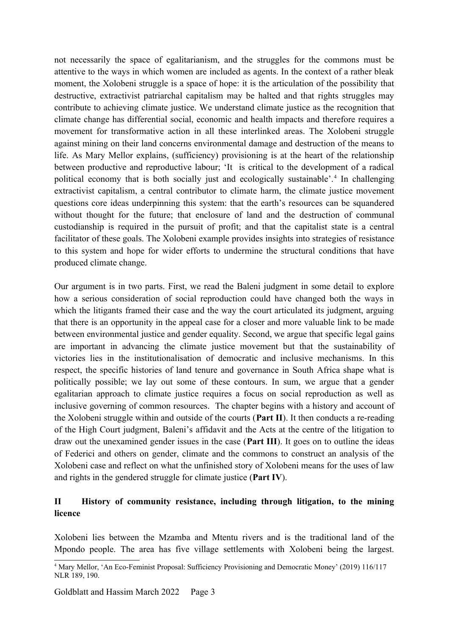not necessarily the space of egalitarianism, and the struggles for the commons must be attentive to the ways in which women are included as agents. In the context of a rather bleak moment, the Xolobeni struggle is a space of hope: it is the articulation of the possibility that destructive, extractivist patriarchal capitalism may be halted and that rights struggles may contribute to achieving climate justice. We understand climate justice as the recognition that climate change has differential social, economic and health impacts and therefore requires a movement for transformative action in all these interlinked areas. The Xolobeni struggle against mining on their land concerns environmental damage and destruction of the means to life. As Mary Mellor explains, (sufficiency) provisioning is at the heart of the relationship between productive and reproductive labour; 'It is critical to the development of a radical political economy that is both socially just and ecologically sustainable'.<sup>[4](#page-2-1)</sup> In challenging extractivist capitalism, a central contributor to climate harm, the climate justice movement questions core ideas underpinning this system: that the earth's resources can be squandered without thought for the future; that enclosure of land and the destruction of communal custodianship is required in the pursuit of profit; and that the capitalist state is a central facilitator of these goals. The Xolobeni example provides insights into strategies of resistance to this system and hope for wider efforts to undermine the structural conditions that have produced climate change.

<span id="page-2-0"></span>Our argument is in two parts. First, we read the Baleni judgment in some detail to explore how a serious consideration of social reproduction could have changed both the ways in which the litigants framed their case and the way the court articulated its judgment, arguing that there is an opportunity in the appeal case for a closer and more valuable link to be made between environmental justice and gender equality. Second, we argue that specific legal gains are important in advancing the climate justice movement but that the sustainability of victories lies in the institutionalisation of democratic and inclusive mechanisms. In this respect, the specific histories of land tenure and governance in South Africa shape what is politically possible; we lay out some of these contours. In sum, we argue that a gender egalitarian approach to climate justice requires a focus on social reproduction as well as inclusive governing of common resources. The chapter begins with a history and account of the Xolobeni struggle within and outside of the courts (**Part II**). It then conducts a re-reading of the High Court judgment, Baleni's affidavit and the Acts at the centre of the litigation to draw out the unexamined gender issues in the case (**Part III**). It goes on to outline the ideas of Federici and others on gender, climate and the commons to construct an analysis of the Xolobeni case and reflect on what the unfinished story of Xolobeni means for the uses of law and rights in the gendered struggle for climate justice (**Part IV**).

## **II History of community resistance, including through litigation, to the mining licence**

Xolobeni lies between the Mzamba and Mtentu rivers and is the traditional land of the Mpondo people. The area has five village settlements with Xolobeni being the largest.

<span id="page-2-1"></span>[<sup>4</sup>](#page-2-0) Mary Mellor, 'An Eco-Feminist Proposal: Sufficiency Provisioning and Democratic Money' (2019) 116/117 NLR 189, 190.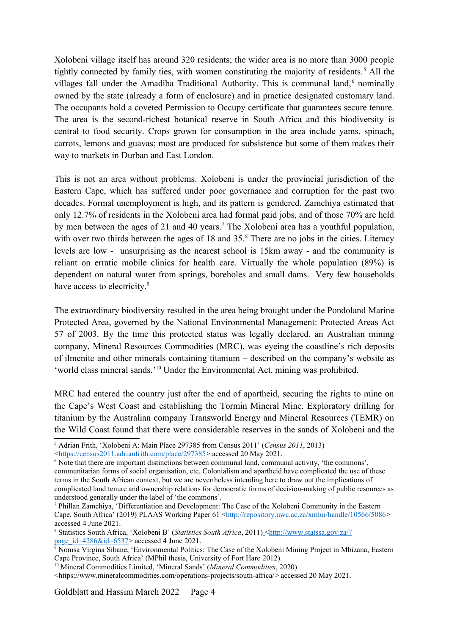<span id="page-3-2"></span><span id="page-3-0"></span>Xolobeni village itself has around 320 residents; the wider area is no more than 3000 people tightly connected by family ties, with women constituting the majority of residents.<sup>[5](#page-3-1)</sup> All the villages fall under the Amadiba Traditional Authority. This is communal land.<sup>[6](#page-3-3)</sup> nominally owned by the state (already a form of enclosure) and in practice designated customary land. The occupants hold a coveted Permission to Occupy certificate that guarantees secure tenure. The area is the second-richest botanical reserve in South Africa and this biodiversity is central to food security. Crops grown for consumption in the area include yams, spinach, carrots, lemons and guavas; most are produced for subsistence but some of them makes their way to markets in Durban and East London.

<span id="page-3-6"></span><span id="page-3-4"></span>This is not an area without problems. Xolobeni is under the provincial jurisdiction of the Eastern Cape, which has suffered under poor governance and corruption for the past two decades. Formal unemployment is high, and its pattern is gendered. Zamchiya estimated that only 12.7% of residents in the Xolobeni area had formal paid jobs, and of those 70% are held by men between the ages of 21 and 40 years.<sup>[7](#page-3-5)</sup> The Xolobeni area has a youthful population. with over two thirds between the ages of 1[8](#page-3-7) and  $35$ .<sup>8</sup> There are no jobs in the cities. Literacy levels are low - unsurprising as the nearest school is 15km away - and the community is reliant on erratic mobile clinics for health care. Virtually the whole population (89%) is dependent on natural water from springs, boreholes and small dams. Very few households have access to electricity.<sup>[9](#page-3-9)</sup>

<span id="page-3-8"></span>The extraordinary biodiversity resulted in the area being brought under the Pondoland Marine Protected Area, governed by the National Environmental Management: Protected Areas Act 57 of 2003. By the time this protected status was legally declared, an Australian mining company, Mineral Resources Commodities (MRC), was eyeing the coastline's rich deposits of ilmenite and other minerals containing titanium – described on the company's website as 'world class mineral sands.'[10](#page-3-11) Under the Environmental Act, mining was prohibited.

<span id="page-3-10"></span>MRC had entered the country just after the end of apartheid, securing the rights to mine on the Cape's West Coast and establishing the Tormin Mineral Mine. Exploratory drilling for titanium by the Australian company Transworld Energy and Mineral Resources (TEMR) on the Wild Coast found that there were considerable reserves in the sands of Xolobeni and the

<span id="page-3-1"></span>[<sup>5</sup>](#page-3-0) Adrian Frith, 'Xolobeni A: Main Place 297385 from Census 2011' (*Census 2011*, 2013) <<https://census2011.adrianfrith.com/place/297385>> accessed 20 May 2021.

<span id="page-3-3"></span>[<sup>6</sup>](#page-3-2) Note that there are important distinctions between communal land, communal activity, 'the commons', communitarian forms of social organisation, etc. Colonialism and apartheid have complicated the use of these terms in the South African context, but we are nevertheless intending here to draw out the implications of complicated land tenure and ownership relations for democratic forms of decision-making of public resources as understood generally under the label of 'the commons'.

<span id="page-3-5"></span>[<sup>7</sup>](#page-3-4) Phillan Zamchiya, 'Differentiation and Development: The Case of the Xolobeni Community in the Eastern Cape, South Africa' (2019) PLAAS Working Paper 61 <<http://repository.uwc.ac.za/xmlui/handle/10566/5086>> accessed 4 June 2021.

<span id="page-3-7"></span><sup>&</sup>lt;sup>[8](#page-3-6)</sup> Statistics South Africa, 'Xolobeni B' (*Statistics South Africa*, 2011) <[http://www.statssa.gov.za/?](http://www.statssa.gov.za/?page_id=4286&id=6537) page  $id=4286\&id=6537>$  accessed 4 June 2021.

<span id="page-3-9"></span><sup>&</sup>lt;sup>[9](#page-3-8)</sup> Nomsa Virgina Sibane, 'Environmental Politics: The Case of the Xolobeni Mining Project in Mbizana, Eastern Cape Province, South Africa' (MPhil thesis, University of Fort Hare 2012).

<span id="page-3-11"></span>[<sup>10</sup>](#page-3-10) Mineral Commodities Limited, 'Mineral Sands' (*Mineral Commodities*, 2020)

<sup>&</sup>lt;https://www.mineralcommodities.com/operations-projects/south-africa/> accessed 20 May 2021.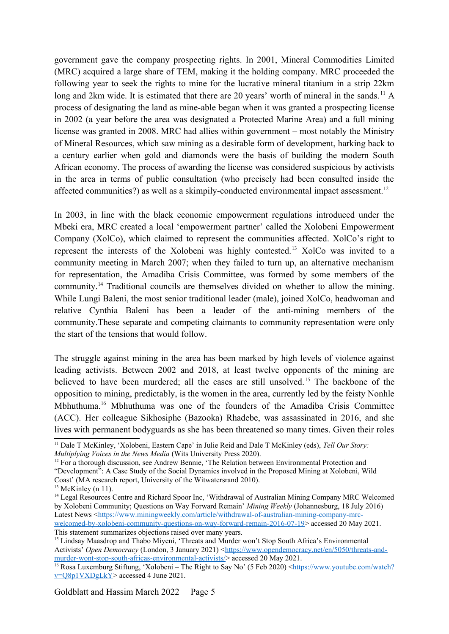<span id="page-4-0"></span>government gave the company prospecting rights. In 2001, Mineral Commodities Limited (MRC) acquired a large share of TEM, making it the holding company. MRC proceeded the following year to seek the rights to mine for the lucrative mineral titanium in a strip 22km long and 2km wide. It is estimated that there are 20 years' worth of mineral in the sands.<sup>[11](#page-4-1)</sup> A process of designating the land as mine-able began when it was granted a prospecting license in 2002 (a year before the area was designated a Protected Marine Area) and a full mining license was granted in 2008. MRC had allies within government – most notably the Ministry of Mineral Resources, which saw mining as a desirable form of development, harking back to a century earlier when gold and diamonds were the basis of building the modern South African economy. The process of awarding the license was considered suspicious by activists in the area in terms of public consultation (who precisely had been consulted inside the affected communities?) as well as a skimpily-conducted environmental impact assessment.<sup>[12](#page-4-3)</sup>

<span id="page-4-6"></span><span id="page-4-4"></span><span id="page-4-2"></span>In 2003, in line with the black economic empowerment regulations introduced under the Mbeki era, MRC created a local 'empowerment partner' called the Xolobeni Empowerment Company (XolCo), which claimed to represent the communities affected. XolCo's right to represent the interests of the Xolobeni was highly contested.[13](#page-4-5) XolCo was invited to a community meeting in March 2007; when they failed to turn up, an alternative mechanism for representation, the Amadiba Crisis Committee, was formed by some members of the community.[14](#page-4-7) Traditional councils are themselves divided on whether to allow the mining. While Lungi Baleni, the most senior traditional leader (male), joined XolCo, headwoman and relative Cynthia Baleni has been a leader of the anti-mining members of the community.These separate and competing claimants to community representation were only the start of the tensions that would follow.

<span id="page-4-8"></span>The struggle against mining in the area has been marked by high levels of violence against leading activists. Between 2002 and 2018, at least twelve opponents of the mining are believed to have been murdered; all the cases are still unsolved.<sup>[15](#page-4-9)</sup> The backbone of the opposition to mining, predictably, is the women in the area, currently led by the feisty Nonhle Mbhuthuma.[16](#page-4-11) Mbhuthuma was one of the founders of the Amadiba Crisis Committee (ACC). Her colleague Sikhosiphe (Bazooka) Rhadebe, was assassinated in 2016, and she lives with permanent bodyguards as she has been threatened so many times. Given their roles

<span id="page-4-10"></span><span id="page-4-1"></span>[<sup>11</sup>](#page-4-0) Dale T McKinley, 'Xolobeni, Eastern Cape' in Julie Reid and Dale T McKinley (eds), *Tell Our Story: Multiplying Voices in the News Media* (Wits University Press 2020).

<span id="page-4-3"></span> $12$  For a thorough discussion, see Andrew Bennie, The Relation between Environmental Protection and "Development": A Case Study of the Social Dynamics involved in the Proposed Mining at Xolobeni, Wild Coast' (MA research report, University of the Witwatersrand 2010).

<span id="page-4-5"></span> $13$  McKinley (n 11).

<span id="page-4-7"></span><sup>&</sup>lt;sup>[14](#page-4-6)</sup> Legal Resources Centre and Richard Spoor Inc, 'Withdrawal of Australian Mining Company MRC Welcomed by Xolobeni Community; Questions on Way Forward Remain' *Mining Weekly* (Johannesburg, 18 July 2016) Latest News <[https://www.miningweekly.com/article/withdrawal-of-australian-mining-company-mrc](https://www.miningweekly.com/article/withdrawal-of-australian-mining-company-mrc-welcomed-by-xolobeni-community-questions-on-way-forward-remain-2016-07-19)[welcomed-by-xolobeni-community-questions-on-way-forward-remain-2016-07-19](https://www.miningweekly.com/article/withdrawal-of-australian-mining-company-mrc-welcomed-by-xolobeni-community-questions-on-way-forward-remain-2016-07-19)> accessed 20 May 2021. This statement summarizes objections raised over many years.

<span id="page-4-9"></span><sup>&</sup>lt;sup>[15](#page-4-8)</sup> Lindsay Maasdrop and Thabo Miveni, 'Threats and Murder won't Stop South Africa's Environmental Activists' *Open Democracy* (London, 3 January 2021) [<https://www.opendemocracy.net/en/5050/threats-and](https://www.opendemocracy.net/en/5050/threats-and-murder-wont-stop-south-africas-environmental-activists/)[murder-wont-stop-south-africas-environmental-activists/](https://www.opendemocracy.net/en/5050/threats-and-murder-wont-stop-south-africas-environmental-activists/)>accessed 20 May 2021.

<span id="page-4-11"></span><sup>&</sup>lt;sup>[16](#page-4-10)</sup> Rosa Luxemburg Stiftung, 'Xolobeni – The Right to Say No' (5 Feb 2020) < $\frac{https://www.youtube.com/watch?}$ [v=Q8p1VXDgLkY](https://www.youtube.com/watch?v=Q8p1VXDgLkY)> accessed 4 June 2021.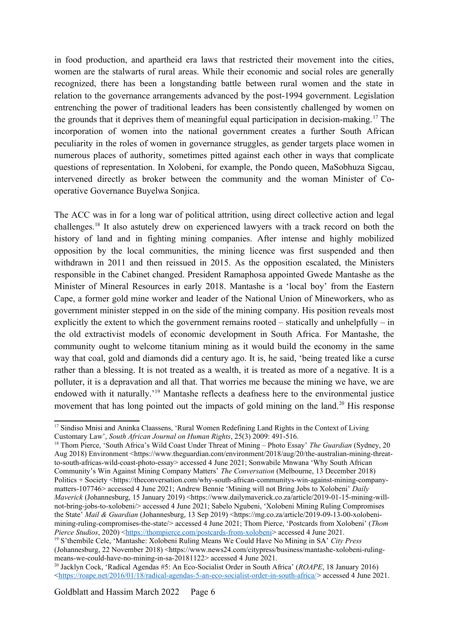<span id="page-5-0"></span>in food production, and apartheid era laws that restricted their movement into the cities, women are the stalwarts of rural areas. While their economic and social roles are generally recognized, there has been a longstanding battle between rural women and the state in relation to the governance arrangements advanced by the post-1994 government. Legislation entrenching the power of traditional leaders has been consistently challenged by women on the grounds that it deprives them of meaningful equal participation in decision-making. [17](#page-5-1) The incorporation of women into the national government creates a further South African peculiarity in the roles of women in governance struggles, as gender targets place women in numerous places of authority, sometimes pitted against each other in ways that complicate questions of representation. In Xolobeni, for example, the Pondo queen, MaSobhuza Sigcau, intervened directly as broker between the community and the woman Minister of Cooperative Governance Buyelwa Sonjica.

<span id="page-5-2"></span>The ACC was in for a long war of political attrition, using direct collective action and legal challenges.[18](#page-5-3) It also astutely drew on experienced lawyers with a track record on both the history of land and in fighting mining companies. After intense and highly mobilized opposition by the local communities, the mining licence was first suspended and then withdrawn in 2011 and then reissued in 2015. As the opposition escalated, the Ministers responsible in the Cabinet changed. President Ramaphosa appointed Gwede Mantashe as the Minister of Mineral Resources in early 2018. Mantashe is a 'local boy' from the Eastern Cape, a former gold mine worker and leader of the National Union of Mineworkers, who as government minister stepped in on the side of the mining company. His position reveals most explicitly the extent to which the government remains rooted – statically and unhelpfully – in the old extractivist models of economic development in South Africa. For Mantashe, the community ought to welcome titanium mining as it would build the economy in the same way that coal, gold and diamonds did a century ago. It is, he said, 'being treated like a curse rather than a blessing. It is not treated as a wealth, it is treated as more of a negative. It is a polluter, it is a depravation and all that. That worries me because the mining we have, we are endowed with it naturally.'[19](#page-5-5) Mantashe reflects a deafness here to the environmental justice movement that has long pointed out the impacts of gold mining on the land.<sup>[20](#page-5-7)</sup> His response

<span id="page-5-6"></span><span id="page-5-4"></span><span id="page-5-1"></span><sup>&</sup>lt;sup>[17](#page-5-0)</sup> Sindiso Mnisi and Aninka Claassens, 'Rural Women Redefining Land Rights in the Context of Living Customary Law', *South African Journal on Human Rights*, 25(3) 2009: 491-516.

<span id="page-5-3"></span>[<sup>18</sup>](#page-5-2) Thom Pierce, 'South Africa's Wild Coast Under Threat of Mining – Photo Essay' *The Guardian* (Sydney, 20 Aug 2018) Environment <https://www.theguardian.com/environment/2018/aug/20/the-australian-mining-threatto-south-africas-wild-coast-photo-essay> accessed 4 June 2021; Sonwabile Mnwana 'Why South African Community's Win Against Mining Company Matters' *The Conversation* (Melbourne, 13 December 2018) Politics + Society <https://theconversation.com/why-south-african-communitys-win-against-mining-companymatters-107746> accessed 4 June 2021; Andrew Bennie 'Mining will not Bring Jobs to Xolobeni' *Daily Maverick* (Johannesburg, 15 January 2019) <https://www.dailymaverick.co.za/article/2019-01-15-mining-willnot-bring-jobs-to-xolobeni/> accessed 4 June 2021; Sabelo Ngubeni, 'Xolobeni Mining Ruling Compromises the State' *Mail & Guardian* (Johannesburg, 13 Sep 2019) <https://mg.co.za/article/2019-09-13-00-xolobenimining-ruling-compromises-the-state/> accessed 4 June 2021; Thom Pierce, 'Postcards from Xolobeni' (*Thom Pierce Studios*, 2020) <[https://thompierce.com/postcards-from-xolobeni>](https://thompierce.com/postcards-from-xolobeni) accessed 4 June 2021.

<span id="page-5-5"></span>[<sup>19</sup>](#page-5-4) S'thembile Cele, 'Mantashe: Xolobeni Ruling Means We Could Have No Mining in SA' *City Press*  (Johannesburg, 22 November 2018) <https://www.news24.com/citypress/business/mantashe-xolobeni-rulingmeans-we-could-have-no-mining-in-sa-20181122> accessed 4 June 2021.

<span id="page-5-7"></span>[<sup>20</sup>](#page-5-6) Jacklyn Cock, 'Radical Agendas #5: An Eco-Socialist Order in South Africa' (*ROAPE*, 18 January 2016) < [h ttps://roape.net/2016/01/18/radical-agendas-5-an-eco-socialist-order-in-south-africa/](https://roape.net/2016/01/18/radical-agendas-5-an-eco-socialist-order-in-south-africa/)> accessed 4 June 2021.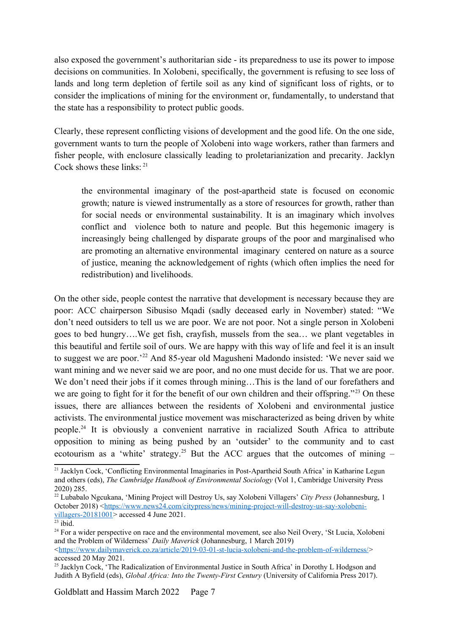also exposed the government's authoritarian side - its preparedness to use its power to impose decisions on communities. In Xolobeni, specifically, the government is refusing to see loss of lands and long term depletion of fertile soil as any kind of significant loss of rights, or to consider the implications of mining for the environment or, fundamentally, to understand that the state has a responsibility to protect public goods.

Clearly, these represent conflicting visions of development and the good life. On the one side, government wants to turn the people of Xolobeni into wage workers, rather than farmers and fisher people, with enclosure classically leading to proletarianization and precarity. Jacklyn Cock shows these  $links:$ <sup>[21](#page-6-1)</sup>

<span id="page-6-0"></span>the environmental imaginary of the post-apartheid state is focused on economic growth; nature is viewed instrumentally as a store of resources for growth, rather than for social needs or environmental sustainability. It is an imaginary which involves conflict and violence both to nature and people. But this hegemonic imagery is increasingly being challenged by disparate groups of the poor and marginalised who are promoting an alternative environmental imaginary centered on nature as a source of justice, meaning the acknowledgement of rights (which often implies the need for redistribution) and livelihoods.

<span id="page-6-2"></span>On the other side, people contest the narrative that development is necessary because they are poor: ACC chairperson Sibusiso Mqadi (sadly deceased early in November) stated: "We don't need outsiders to tell us we are poor. We are not poor. Not a single person in Xolobeni goes to bed hungry….We get fish, crayfish, mussels from the sea… we plant vegetables in this beautiful and fertile soil of ours. We are happy with this way of life and feel it is an insult to suggest we are poor.'[22](#page-6-3) And 85-year old Magusheni Madondo insisted: 'We never said we want mining and we never said we are poor, and no one must decide for us. That we are poor. We don't need their jobs if it comes through mining...This is the land of our forefathers and we are going to fight for it for the benefit of our own children and their offspring."<sup>[23](#page-6-5)</sup> On these issues, there are alliances between the residents of Xolobeni and environmental justice activists. The environmental justice movement was mischaracterized as being driven by white people.[24](#page-6-7) It is obviously a convenient narrative in racialized South Africa to attribute opposition to mining as being pushed by an 'outsider' to the community and to cast ecotourism as a 'white' strategy.<sup>[25](#page-6-9)</sup> But the ACC argues that the outcomes of mining  $-$ 

<span id="page-6-8"></span><span id="page-6-6"></span><span id="page-6-4"></span><span id="page-6-1"></span><sup>&</sup>lt;sup>[21](#page-6-0)</sup> Jacklyn Cock, 'Conflicting Environmental Imaginaries in Post-Apartheid South Africa' in Katharine Legun and others (eds), *The Cambridge Handbook of Environmental Sociology* (Vol 1, Cambridge University Press 2020) 285.

<span id="page-6-3"></span>[<sup>22</sup>](#page-6-2) Lubabalo Ngcukana, 'Mining Project will Destroy Us, say Xolobeni Villagers' *City Press* (Johannesburg, 1 October 2018) [<https://www.news24.com/citypress/news/mining-project-will-destroy-us-say-xolobeni](https://www.news24.com/citypress/news/mining-project-will-destroy-us-say-xolobeni-villagers-20181001)[villagers-20181001>](https://www.news24.com/citypress/news/mining-project-will-destroy-us-say-xolobeni-villagers-20181001) accessed 4 June 2021.

<span id="page-6-5"></span> $23$  ibid.

<span id="page-6-7"></span><sup>&</sup>lt;sup>[24](#page-6-6)</sup> For a wider perspective on race and the environmental movement, see also Neil Overy, 'St Lucia, Xolobeni and the Problem of Wilderness' *Daily Maverick* (Johannesburg, 1 March 2019) <<https://www.dailymaverick.co.za/article/2019-03-01-st-lucia-xolobeni-and-the-problem-of-wilderness/>>

<span id="page-6-9"></span>accessed 20 May 2021. <sup>[25](#page-6-8)</sup> Jacklyn Cock, 'The Radicalization of Environmental Justice in South Africa' in Dorothy L Hodgson and Judith A Byfield (eds), *Global Africa: Into the Twenty-First Century* (University of California Press 2017).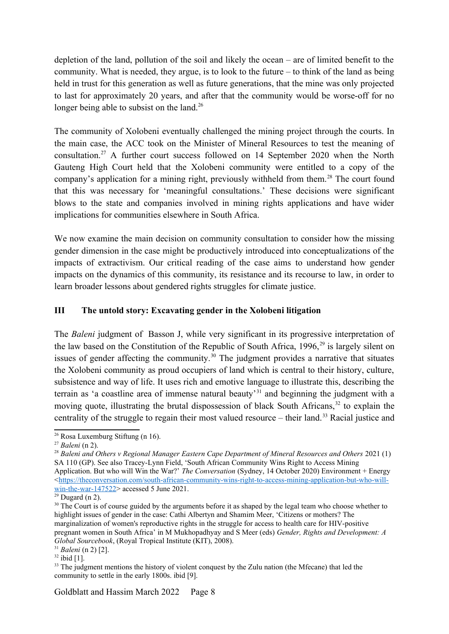depletion of the land, pollution of the soil and likely the ocean – are of limited benefit to the community. What is needed, they argue, is to look to the future – to think of the land as being held in trust for this generation as well as future generations, that the mine was only projected to last for approximately 20 years, and after that the community would be worse-off for no longer being able to subsist on the land.<sup>[26](#page-7-1)</sup>

<span id="page-7-4"></span><span id="page-7-2"></span><span id="page-7-0"></span>The community of Xolobeni eventually challenged the mining project through the courts. In the main case, the ACC took on the Minister of Mineral Resources to test the meaning of consultation.[27](#page-7-3) A further court success followed on 14 September 2020 when the North Gauteng High Court held that the Xolobeni community were entitled to a copy of the company's application for a mining right, previously withheld from them.<sup>[28](#page-7-5)</sup> The court found that this was necessary for 'meaningful consultations.' These decisions were significant blows to the state and companies involved in mining rights applications and have wider implications for communities elsewhere in South Africa.

We now examine the main decision on community consultation to consider how the missing gender dimension in the case might be productively introduced into conceptualizations of the impacts of extractivism. Our critical reading of the case aims to understand how gender impacts on the dynamics of this community, its resistance and its recourse to law, in order to learn broader lessons about gendered rights struggles for climate justice.

# **III The untold story: Excavating gender in the Xolobeni litigation**

<span id="page-7-8"></span><span id="page-7-6"></span>The *Baleni* judgment of Basson J, while very significant in its progressive interpretation of the law based on the Constitution of the Republic of South Africa,  $1996$ <sup>[29](#page-7-7)</sup> is largely silent on issues of gender affecting the community.<sup>[30](#page-7-9)</sup> The judgment provides a narrative that situates the Xolobeni community as proud occupiers of land which is central to their history, culture, subsistence and way of life. It uses rich and emotive language to illustrate this, describing the terrain as 'a coastline area of immense natural beauty'[31](#page-7-11) and beginning the judgment with a moving quote, illustrating the brutal dispossession of black South Africans,<sup>[32](#page-7-13)</sup> to explain the centrality of the struggle to regain their most valued resource – their land.[33](#page-7-15) Racial justice and

<span id="page-7-13"></span> $32$  ibid  $[11]$ .

<span id="page-7-14"></span><span id="page-7-12"></span><span id="page-7-10"></span><span id="page-7-1"></span>[<sup>26</sup>](#page-7-0) Rosa Luxemburg Stiftung (n 16).

<span id="page-7-3"></span>[<sup>27</sup>](#page-7-2) *Baleni* (n 2).

<span id="page-7-5"></span>[<sup>28</sup>](#page-7-4) *Baleni and Others v Regional Manager Eastern Cape Department of Mineral Resources and Others* 2021 (1) SA 110 (GP). See also Tracey-Lynn Field, 'South African Community Wins Right to Access Mining Application. But who will Win the War?' *The Conversation* (Sydney, 14 October 2020) Environment + Energy  $\lt$ [https://theconversation.com/south-african-community-wins-right-to-access-mining-application-but-who-will](https://theconversation.com/south-african-community-wins-right-to-access-mining-application-but-who-will-win-the-war-147522)[win-the-war-147522](https://theconversation.com/south-african-community-wins-right-to-access-mining-application-but-who-will-win-the-war-147522)> accessed 5 June 2021.

<span id="page-7-7"></span> $29$  Dugard (n 2).

<span id="page-7-9"></span><sup>&</sup>lt;sup>[30](#page-7-8)</sup> The Court is of course guided by the arguments before it as shaped by the legal team who choose whether to highlight issues of gender in the case: Cathi Albertyn and Shamim Meer, 'Citizens or mothers? The marginalization of women's reproductive rights in the struggle for access to health care for HIV-positive pregnant women in South Africa' in M Mukhopadhyay and S Meer (eds) *Gender, Rights and Development: A Global Sourcebook*, (Royal Tropical Institute (KIT), 2008).

<span id="page-7-11"></span>[<sup>31</sup>](#page-7-10) *Baleni* (n 2) [2].

<span id="page-7-15"></span><sup>&</sup>lt;sup>[33](#page-7-14)</sup> The judgment mentions the history of violent conquest by the Zulu nation (the Mfecane) that led the community to settle in the early 1800s. ibid [9].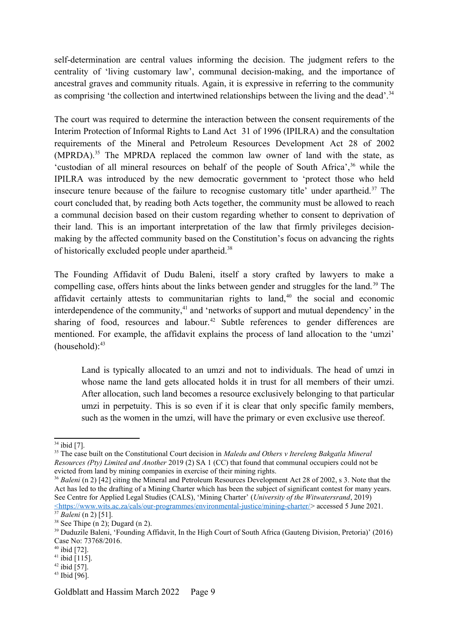self-determination are central values informing the decision. The judgment refers to the centrality of 'living customary law', communal decision-making, and the importance of ancestral graves and community rituals. Again, it is expressive in referring to the community as comprising 'the collection and intertwined relationships between the living and the dead'.<sup>[34](#page-8-1)</sup>

<span id="page-8-6"></span><span id="page-8-4"></span><span id="page-8-2"></span><span id="page-8-0"></span>The court was required to determine the interaction between the consent requirements of the Interim Protection of Informal Rights to Land Act 31 of 1996 (IPILRA) and the consultation requirements of the Mineral and Petroleum Resources Development Act 28 of 2002  $(MPRDA)$ <sup>[35](#page-8-3)</sup>. The MPRDA replaced the common law owner of land with the state, as 'custodian of all mineral resources on behalf of the people of South Africa',<sup>[36](#page-8-5)</sup> while the IPILRA was introduced by the new democratic government to 'protect those who held insecure tenure because of the failure to recognise customary title' under apartheid. $37$  The court concluded that, by reading both Acts together, the community must be allowed to reach a communal decision based on their custom regarding whether to consent to deprivation of their land. This is an important interpretation of the law that firmly privileges decisionmaking by the affected community based on the Constitution's focus on advancing the rights of historically excluded people under apartheid.<sup>[38](#page-8-9)</sup>

<span id="page-8-8"></span>The Founding Affidavit of Dudu Baleni, itself a story crafted by lawyers to make a compelling case, offers hints about the links between gender and struggles for the land.<sup>[39](#page-8-11)</sup> The affidavit certainly attests to communitarian rights to land, $40$  the social and economic interdependence of the community, $41$  and 'networks of support and mutual dependency' in the sharing of food, resources and labour.<sup>[42](#page-8-17)</sup> Subtle references to gender differences are mentioned. For example, the affidavit explains the process of land allocation to the 'umzi'  $(household):$ <sup>[43](#page-8-19)</sup>

<span id="page-8-18"></span><span id="page-8-16"></span><span id="page-8-14"></span><span id="page-8-12"></span><span id="page-8-10"></span>Land is typically allocated to an umzi and not to individuals. The head of umzi in whose name the land gets allocated holds it in trust for all members of their umzi. After allocation, such land becomes a resource exclusively belonging to that particular umzi in perpetuity. This is so even if it is clear that only specific family members, such as the women in the umzi, will have the primary or even exclusive use thereof.

- <span id="page-8-17"></span> $42$  ibid [57].
- <span id="page-8-19"></span>[43](#page-8-18) Ibid [96].

<span id="page-8-1"></span> $34$  ibid [7].

<span id="page-8-3"></span><sup>&</sup>lt;sup>[35](#page-8-2)</sup> The case built on the Constitutional Court decision in *Maledu and Others v Itereleng Bakgatla Mineral Resources (Pty) Limited and Another* 2019 (2) SA 1 (CC) that found that communal occupiers could not be evicted from land by mining companies in exercise of their mining rights.

<span id="page-8-5"></span><sup>&</sup>lt;sup>[36](#page-8-4)</sup> *Baleni* (n 2) [42] citing the Mineral and Petroleum Resources Development Act 28 of 2002, s 3. Note that the Act has led to the drafting of a Mining Charter which has been the subject of significant contest for many years. See Centre for Applied Legal Studies (CALS), 'Mining Charter' (*University of the Witwatersrand*, 2019) < [https://www.wits.ac.za/cals/our-programmes/environmental-justice/mining-charter/>](https://www.wits.ac.za/cals/our-programmes/environmental-justice/mining-charter/) accessed 5 June 2021.

<span id="page-8-7"></span>[<sup>37</sup>](#page-8-6) *Baleni* (n 2) [51].

<span id="page-8-9"></span><sup>&</sup>lt;sup>[38](#page-8-8)</sup> See Thipe  $(n 2)$ ; Dugard  $(n 2)$ .

<span id="page-8-11"></span>[<sup>39</sup>](#page-8-10) Duduzile Baleni, 'Founding Affidavit, In the High Court of South Africa (Gauteng Division, Pretoria)' (2016) Case No: 73768/2016.

<span id="page-8-13"></span> $40$  ibid [72].

<span id="page-8-15"></span> $41$  ibid [115].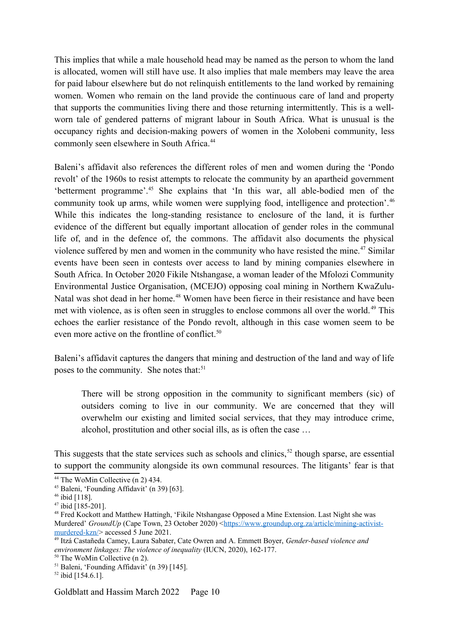This implies that while a male household head may be named as the person to whom the land is allocated, women will still have use. It also implies that male members may leave the area for paid labour elsewhere but do not relinquish entitlements to the land worked by remaining women. Women who remain on the land provide the continuous care of land and property that supports the communities living there and those returning intermittently. This is a wellworn tale of gendered patterns of migrant labour in South Africa. What is unusual is the occupancy rights and decision-making powers of women in the Xolobeni community, less commonly seen elsewhere in South Africa.<sup>[44](#page-9-1)</sup>

<span id="page-9-4"></span><span id="page-9-2"></span><span id="page-9-0"></span>Baleni's affidavit also references the different roles of men and women during the 'Pondo revolt' of the 1960s to resist attempts to relocate the community by an apartheid government 'betterment programme'.[45](#page-9-3) She explains that 'In this war, all able-bodied men of the community took up arms, while women were supplying food, intelligence and protection'.<sup>[46](#page-9-5)</sup> While this indicates the long-standing resistance to enclosure of the land, it is further evidence of the different but equally important allocation of gender roles in the communal life of, and in the defence of, the commons. The affidavit also documents the physical violence suffered by men and women in the community who have resisted the mine.<sup>[47](#page-9-7)</sup> Similar events have been seen in contests over access to land by mining companies elsewhere in South Africa. In October 2020 Fikile Ntshangase, a woman leader of the Mfolozi Community Environmental Justice Organisation, (MCEJO) opposing coal mining in Northern KwaZulu-Natal was shot dead in her home.<sup>[48](#page-9-9)</sup> Women have been fierce in their resistance and have been met with violence, as is often seen in struggles to enclose commons all over the world. [49](#page-9-11) This echoes the earlier resistance of the Pondo revolt, although in this case women seem to be even more active on the frontline of conflict.<sup>[50](#page-9-13)</sup>

Baleni's affidavit captures the dangers that mining and destruction of the land and way of life poses to the community. She notes that:<sup>[51](#page-9-15)</sup>

<span id="page-9-16"></span><span id="page-9-14"></span><span id="page-9-12"></span><span id="page-9-10"></span><span id="page-9-8"></span><span id="page-9-6"></span>There will be strong opposition in the community to significant members (sic) of outsiders coming to live in our community. We are concerned that they will overwhelm our existing and limited social services, that they may introduce crime, alcohol, prostitution and other social ills, as is often the case …

This suggests that the state services such as schools and clinics,  $52$  though sparse, are essential to support the community alongside its own communal resources. The litigants' fear is that

<span id="page-9-1"></span>[<sup>44</sup>](#page-9-0) The WoMin Collective (n 2) 434.

<span id="page-9-3"></span>[<sup>45</sup>](#page-9-2) Baleni, 'Founding Affidavit' (n 39) [63].

<span id="page-9-5"></span>[<sup>46</sup>](#page-9-4) ibid [118].

<span id="page-9-7"></span> $47$  ibid [185-201].

<span id="page-9-9"></span><sup>&</sup>lt;sup>[48](#page-9-8)</sup> Fred Kockott and Matthew Hattingh, 'Fikile Ntshangase Opposed a Mine Extension. Last Night she was Murdered' *GroundUp* (Cape Town, 23 October 2020) <[https://www.groundup.org.za/article/mining-activist](https://www.groundup.org.za/article/mining-activist-murdered-kzn/)[murdered-kzn/](https://www.groundup.org.za/article/mining-activist-murdered-kzn/)> accessed 5 June 2021.

<span id="page-9-11"></span>[<sup>49</sup>](#page-9-10) Itzá Castañeda Camey, Laura Sabater, Cate Owren and A. Emmett Boyer, *Gender-based violence and environment linkages: The violence of inequality* (IUCN, 2020), 162-177.

<span id="page-9-13"></span>[<sup>50</sup>](#page-9-12) The WoMin Collective (n 2).

<span id="page-9-15"></span>[<sup>51</sup>](#page-9-14) Baleni, 'Founding Affidavit' (n 39) [145].

<span id="page-9-17"></span><sup>&</sup>lt;sup>[52](#page-9-16)</sup> ibid [154.6.1].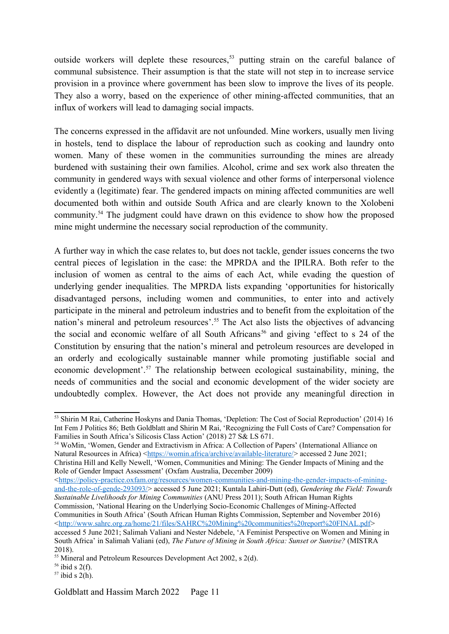<span id="page-10-0"></span>outside workers will deplete these resources,<sup>[53](#page-10-1)</sup> putting strain on the careful balance of communal subsistence. Their assumption is that the state will not step in to increase service provision in a province where government has been slow to improve the lives of its people. They also a worry, based on the experience of other mining-affected communities, that an influx of workers will lead to damaging social impacts.

The concerns expressed in the affidavit are not unfounded. Mine workers, usually men living in hostels, tend to displace the labour of reproduction such as cooking and laundry onto women. Many of these women in the communities surrounding the mines are already burdened with sustaining their own families. Alcohol, crime and sex work also threaten the community in gendered ways with sexual violence and other forms of interpersonal violence evidently a (legitimate) fear. The gendered impacts on mining affected communities are well documented both within and outside South Africa and are clearly known to the Xolobeni community.[54](#page-10-3) The judgment could have drawn on this evidence to show how the proposed mine might undermine the necessary social reproduction of the community.

<span id="page-10-6"></span><span id="page-10-4"></span><span id="page-10-2"></span>A further way in which the case relates to, but does not tackle, gender issues concerns the two central pieces of legislation in the case: the MPRDA and the IPILRA. Both refer to the inclusion of women as central to the aims of each Act, while evading the question of underlying gender inequalities. The MPRDA lists expanding 'opportunities for historically disadvantaged persons, including women and communities, to enter into and actively participate in the mineral and petroleum industries and to benefit from the exploitation of the nation's mineral and petroleum resources'.<sup>[55](#page-10-5)</sup> The Act also lists the objectives of advancing the social and economic welfare of all South Africans<sup>[56](#page-10-7)</sup> and giving 'effect to s 24 of the Constitution by ensuring that the nation's mineral and petroleum resources are developed in an orderly and ecologically sustainable manner while promoting justifiable social and economic development'.[57](#page-10-9) The relationship between ecological sustainability, mining, the needs of communities and the social and economic development of the wider society are undoubtedly complex. However, the Act does not provide any meaningful direction in

<span id="page-10-3"></span>[54](#page-10-2) WoMin, 'Women, Gender and Extractivism in Africa: A Collection of Papers' (International Alliance on Natural Resources in Africa) < https://womin.africa/archive/available-literature/> accessed 2 June 2021; Christina Hill and Kelly Newell, 'Women, Communities and Mining: The Gender Impacts of Mining and the Role of Gender Impact Assessment' (Oxfam Australia, December 2009)

 $\langle$ [https://policy-practice.oxfam.org/resources/women-communities-and-mining-the-gender-impacts-of-mining](https://policy-practice.oxfam.org/resources/women-communities-and-mining-the-gender-impacts-of-mining-and-the-role-of-gende-293093/)[and-the-role-of-gende-293093/](https://policy-practice.oxfam.org/resources/women-communities-and-mining-the-gender-impacts-of-mining-and-the-role-of-gende-293093/)> accessed 5 June 2021; Kuntala Lahiri-Dutt (ed), *Gendering the Field: Towards Sustainable Livelihoods for Mining Communities* (ANU Press 2011); South African Human Rights

<span id="page-10-7"></span> $56$  ibid s 2(f).

<span id="page-10-8"></span><span id="page-10-1"></span>[<sup>53</sup>](#page-10-0) Shirin M Rai, Catherine Hoskyns and Dania Thomas, 'Depletion: The Cost of Social Reproduction' (2014) 16 Int Fem J Politics 86; Beth Goldblatt and Shirin M Rai, 'Recognizing the Full Costs of Care? Compensation for Families in South Africa's Silicosis Class Action' (2018) 27 S& LS 671.

Commission, 'National Hearing on the Underlying Socio-Economic Challenges of Mining-Affected Communities in South Africa' (South African Human Rights Commission, September and November 2016) <[http://www.sahrc.org.za/home/21/files/SAHRC%20Mining%20communities%20report%20FINAL.pdf>](http://www.sahrc.org.za/home/21/files/SAHRC%20Mining%20communities%20report%20FINAL.pdf) accessed 5 June 2021; Salimah Valiani and Nester Ndebele, 'A Feminist Perspective on Women and Mining in South Africa' in Salimah Valiani (ed), *The Future of Mining in South Africa: Sunset or Sunrise?* (MISTRA 2018).

<span id="page-10-5"></span><sup>&</sup>lt;sup>[55](#page-10-4)</sup> Mineral and Petroleum Resources Development Act 2002, s 2(d).

<span id="page-10-9"></span> $57$  ibid s 2(h).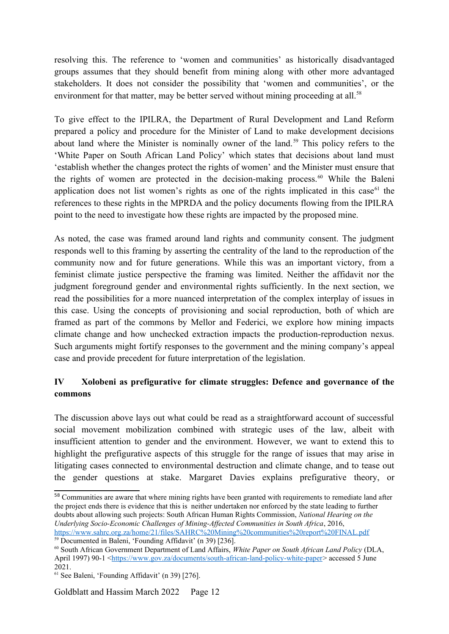resolving this. The reference to 'women and communities' as historically disadvantaged groups assumes that they should benefit from mining along with other more advantaged stakeholders. It does not consider the possibility that 'women and communities', or the environment for that matter, may be better served without mining proceeding at all.<sup>[58](#page-11-1)</sup>

<span id="page-11-4"></span><span id="page-11-2"></span><span id="page-11-0"></span>To give effect to the IPILRA, the Department of Rural Development and Land Reform prepared a policy and procedure for the Minister of Land to make development decisions about land where the Minister is nominally owner of the land.<sup>[59](#page-11-3)</sup> This policy refers to the 'White Paper on South African Land Policy' which states that decisions about land must 'establish whether the changes protect the rights of women' and the Minister must ensure that the rights of women are protected in the decision-making process.<sup>[60](#page-11-5)</sup> While the Baleni application does not list women's rights as one of the rights implicated in this case<sup>[61](#page-11-7)</sup> the references to these rights in the MPRDA and the policy documents flowing from the IPILRA point to the need to investigate how these rights are impacted by the proposed mine.

<span id="page-11-6"></span>As noted, the case was framed around land rights and community consent. The judgment responds well to this framing by asserting the centrality of the land to the reproduction of the community now and for future generations. While this was an important victory, from a feminist climate justice perspective the framing was limited. Neither the affidavit nor the judgment foreground gender and environmental rights sufficiently. In the next section, we read the possibilities for a more nuanced interpretation of the complex interplay of issues in this case. Using the concepts of provisioning and social reproduction, both of which are framed as part of the commons by Mellor and Federici, we explore how mining impacts climate change and how unchecked extraction impacts the production-reproduction nexus. Such arguments might fortify responses to the government and the mining company's appeal case and provide precedent for future interpretation of the legislation.

# **IV Xolobeni as prefigurative for climate struggles: Defence and governance of the commons**

The discussion above lays out what could be read as a straightforward account of successful social movement mobilization combined with strategic uses of the law, albeit with insufficient attention to gender and the environment. However, we want to extend this to highlight the prefigurative aspects of this struggle for the range of issues that may arise in litigating cases connected to environmental destruction and climate change, and to tease out the gender questions at stake. Margaret Davies explains prefigurative theory, or

Goldblatt and Hassim March 2022 Page 12

<span id="page-11-1"></span>[<sup>58</sup>](#page-11-0) Communities are aware that where mining rights have been granted with requirements to remediate land after the project ends there is evidence that this is neither undertaken nor enforced by the state leading to further doubts about allowing such projects: South African Human Rights Commission, *National Hearing on the Underlying Socio-Economic Challenges of Mining-Affected Communities in South Africa*, 2016, <https://www.sahrc.org.za/home/21/files/SAHRC%20Mining%20communities%20report%20FINAL.pdf>

<span id="page-11-3"></span> $\overline{59}$  $\overline{59}$  $\overline{59}$  Documented in Baleni, 'Founding Affidavit' (n 39) [236].

<span id="page-11-5"></span>[<sup>60</sup>](#page-11-4) South African Government Department of Land Affairs, *White Paper on South African Land Policy* (DLA, April 1997) 90-1 <<https://www.gov.za/documents/south-african-land-policy-white-paper>> accessed 5 June 2021.

<span id="page-11-7"></span>[<sup>61</sup>](#page-11-6) See Baleni, 'Founding Affidavit' (n 39) [276].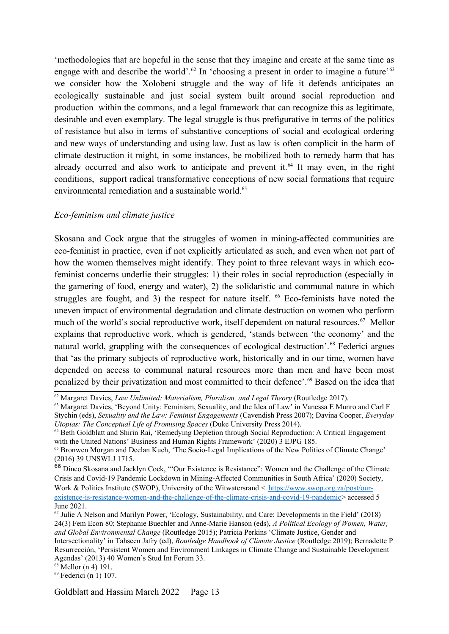<span id="page-12-2"></span><span id="page-12-0"></span>'methodologies that are hopeful in the sense that they imagine and create at the same time as engage with and describe the world'.<sup>[62](#page-12-1)</sup> In 'choosing a present in order to imagine a future'<sup>[63](#page-12-3)</sup> we consider how the Xolobeni struggle and the way of life it defends anticipates an ecologically sustainable and just social system built around social reproduction and production within the commons, and a legal framework that can recognize this as legitimate, desirable and even exemplary. The legal struggle is thus prefigurative in terms of the politics of resistance but also in terms of substantive conceptions of social and ecological ordering and new ways of understanding and using law. Just as law is often complicit in the harm of climate destruction it might, in some instances, be mobilized both to remedy harm that has already occurred and also work to anticipate and prevent it.<sup>[64](#page-12-5)</sup> It may even, in the right conditions, support radical transformative conceptions of new social formations that require environmental remediation and a sustainable world.<sup>[65](#page-12-7)</sup>

## <span id="page-12-6"></span><span id="page-12-4"></span>*Eco-feminism and climate justice*

<span id="page-12-8"></span>Skosana and Cock argue that the struggles of women in mining-affected communities are eco-feminist in practice, even if not explicitly articulated as such, and even when not part of how the women themselves might identify. They point to three relevant ways in which ecofeminist concerns underlie their struggles: 1) their roles in social reproduction (especially in the garnering of food, energy and water), 2) the solidaristic and communal nature in which strugglesare fought, and 3) the respect for nature itself.  $^{66}$  Eco-feminists have noted the uneven impact of environmental degradation and climate destruction on women who perform much of the world's social reproductive work, itself dependent on natural resources.<sup>[67](#page-12-11)</sup> Mellor explains that reproductive work, which is gendered, 'stands between 'the economy' and the natural world, grappling with the consequences of ecological destruction'.<sup>[68](#page-12-13)</sup> Federici argues that 'as the primary subjects of reproductive work, historically and in our time, women have depended on access to communal natural resources more than men and have been most penalized by their privatization and most committed to their defence'.[69](#page-12-15) Based on the idea that

<span id="page-12-14"></span><span id="page-12-12"></span><span id="page-12-10"></span><span id="page-12-1"></span>[<sup>62</sup>](#page-12-0) Margaret Davies, *Law Unlimited: Materialism, Pluralism, and Legal Theory* (Routledge 2017).

<span id="page-12-3"></span><sup>&</sup>lt;sup>[63](#page-12-2)</sup> Margaret Davies, 'Beyond Unity: Feminism, Sexuality, and the Idea of Law' in Vanessa E Munro and Carl F Stychin (eds), *Sexuality and the Law: Feminist Engagements* (Cavendish Press 2007); Davina Cooper, *Everyday Utopias: The Conceptual Life of Promising Spaces (Duke University Press 2014).* 

<span id="page-12-5"></span><sup>&</sup>lt;sup>[64](#page-12-4)</sup> Beth Goldblatt and Shirin Rai, 'Remedying Depletion through Social Reproduction: A Critical Engagement with the United Nations' Business and Human Rights Framework' (2020) 3 EJPG 185.

<span id="page-12-7"></span><sup>&</sup>lt;sup>[65](#page-12-6)</sup> Bronwen Morgan and Declan Kuch, 'The Socio-Legal Implications of the New Politics of Climate Change' (2016) 39 UNSWLJ 1715.

<span id="page-12-9"></span>[<sup>66</sup>](#page-12-8) Dineo Skosana and Jacklyn Cock, '"Our Existence is Resistance": Women and the Challenge of the Climate Crisis and Covid-19 Pandemic Lockdown in Mining-Affected Communities in South Africa' (2020) Society, Work & Politics Institute (SWOP), University of the Witwatersrand < [https://www.swop.org.za/post/our](https://www.swop.org.za/post/our-existence-is-resistance-women-and-the-challenge-of-the-climate-crisis-and-covid-19-pandemic)[existence-is-resistance-women-and-the-challenge-of-the-climate-crisis-and-covid-19-pandemic](https://www.swop.org.za/post/our-existence-is-resistance-women-and-the-challenge-of-the-climate-crisis-and-covid-19-pandemic)> accessed 5

June 2021.

<span id="page-12-11"></span>[<sup>67</sup>](#page-12-10) Julie A Nelson and Marilyn Power, 'Ecology, Sustainability, and Care: Developments in the Field' (2018) 24(3) Fem Econ 80; Stephanie Buechler and Anne-Marie Hanson (eds), *A Political Ecology of Women, Water, and Global Environmental Change* (Routledge 2015); Patricia Perkins 'Climate Justice, Gender and Intersectionality' in Tahseen Jafry (ed), *Routledge Handbook of Climate Justice* (Routledge 2019); Bernadette P Resurrección, 'Persistent Women and Environment Linkages in Climate Change and Sustainable Development Agendas' (2013) 40 Women's Stud Int Forum 33.

<span id="page-12-13"></span>[<sup>68</sup>](#page-12-12) Mellor (n 4) 191.

<span id="page-12-15"></span>[<sup>69</sup>](#page-12-14) Federici (n 1) 107.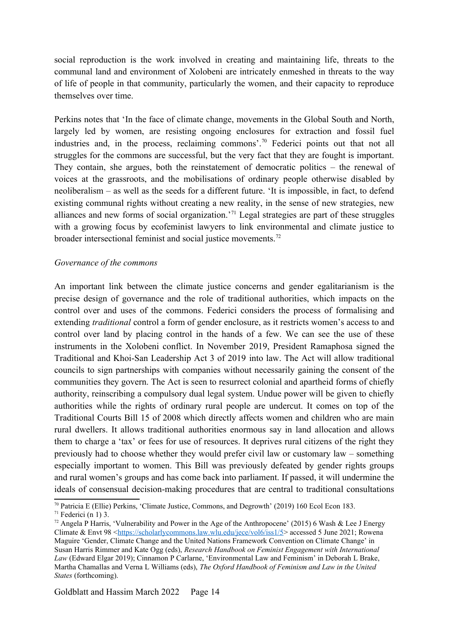social reproduction is the work involved in creating and maintaining life, threats to the communal land and environment of Xolobeni are intricately enmeshed in threats to the way of life of people in that community, particularly the women, and their capacity to reproduce themselves over time.

<span id="page-13-0"></span>Perkins notes that 'In the face of climate change, movements in the Global South and North, largely led by women, are resisting ongoing enclosures for extraction and fossil fuel industries and, in the process, reclaiming commons'.[70](#page-13-1) Federici points out that not all struggles for the commons are successful, but the very fact that they are fought is important. They contain, she argues, both the reinstatement of democratic politics – the renewal of voices at the grassroots, and the mobilisations of ordinary people otherwise disabled by neoliberalism – as well as the seeds for a different future. 'It is impossible, in fact, to defend existing communal rights without creating a new reality, in the sense of new strategies, new alliances and new forms of social organization.'[71](#page-13-3) Legal strategies are part of these struggles with a growing focus by ecofeminist lawyers to link environmental and climate justice to broader intersectional feminist and social justice movements.<sup>[72](#page-13-5)</sup>

#### <span id="page-13-4"></span><span id="page-13-2"></span>*Governance of the commons*

An important link between the climate justice concerns and gender egalitarianism is the precise design of governance and the role of traditional authorities, which impacts on the control over and uses of the commons. Federici considers the process of formalising and extending *traditional* control a form of gender enclosure, as it restricts women's access to and control over land by placing control in the hands of a few. We can see the use of these instruments in the Xolobeni conflict. In November 2019, President Ramaphosa signed the Traditional and Khoi-San Leadership Act 3 of 2019 into law. The Act will allow traditional councils to sign partnerships with companies without necessarily gaining the consent of the communities they govern. The Act is seen to resurrect colonial and apartheid forms of chiefly authority, reinscribing a compulsory dual legal system. Undue power will be given to chiefly authorities while the rights of ordinary rural people are undercut. It comes on top of the Traditional Courts Bill 15 of 2008 which directly affects women and children who are main rural dwellers. It allows traditional authorities enormous say in land allocation and allows them to charge a 'tax' or fees for use of resources. It deprives rural citizens of the right they previously had to choose whether they would prefer civil law or customary law – something especially important to women. This Bill was previously defeated by gender rights groups and rural women's groups and has come back into parliament. If passed, it will undermine the ideals of consensual decision-making procedures that are central to traditional consultations

<span id="page-13-1"></span>[<sup>70</sup>](#page-13-0) Patricia E (Ellie) Perkins, 'Climate Justice, Commons, and Degrowth' (2019) 160 Ecol Econ 183.

<span id="page-13-3"></span> $71$  Federici (n 1) 3.

<span id="page-13-5"></span><sup>&</sup>lt;sup>[72](#page-13-4)</sup> Angela P Harris, 'Vulnerability and Power in the Age of the Anthropocene' (2015) 6 Wash & Lee J Energy Climate & Envt 98 <<https://scholarlycommons.law.wlu.edu/jece/vol6/iss1/5>> accessed 5 June 2021; Rowena Maguire 'Gender, Climate Change and the United Nations Framework Convention on Climate Change' in Susan Harris Rimmer and Kate Ogg (eds), *Research Handbook on Feminist Engagement with International Law* (Edward Elgar 2019); Cinnamon P Carlarne, 'Environmental Law and Feminism' in Deborah L Brake, Martha Chamallas and Verna L Williams (eds), *The Oxford Handbook of Feminism and Law in the United States* (forthcoming).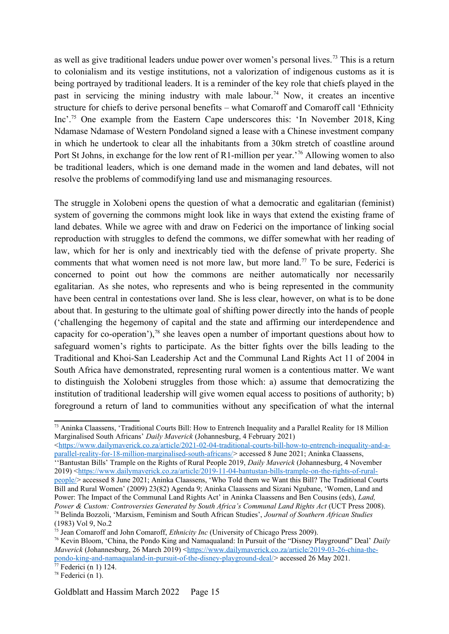<span id="page-14-4"></span><span id="page-14-2"></span><span id="page-14-0"></span>as well as give traditional leaders undue power over women's personal lives.<sup>[73](#page-14-1)</sup> This is a return to colonialism and its vestige institutions, not a valorization of indigenous customs as it is being portrayed by traditional leaders. It is a reminder of the key role that chiefs played in the past in servicing the mining industry with male labour.<sup>[74](#page-14-3)</sup> Now, it creates an incentive structure for chiefs to derive personal benefits – what Comaroff and Comaroff call 'Ethnicity Inc'.[75](#page-14-5) One example from the Eastern Cape underscores this: 'In November 2018, King Ndamase Ndamase of Western Pondoland signed a lease with a Chinese investment company in which he undertook to clear all the inhabitants from a 30km stretch of coastline around Port St Johns, in exchange for the low rent of R1-million per year.'[76](#page-14-7) Allowing women to also be traditional leaders, which is one demand made in the women and land debates, will not resolve the problems of commodifying land use and mismanaging resources.

<span id="page-14-8"></span><span id="page-14-6"></span>The struggle in Xolobeni opens the question of what a democratic and egalitarian (feminist) system of governing the commons might look like in ways that extend the existing frame of land debates. While we agree with and draw on Federici on the importance of linking social reproduction with struggles to defend the commons, we differ somewhat with her reading of law, which for her is only and inextricably tied with the defense of private property. She comments that what women need is not more law, but more land.<sup>[77](#page-14-9)</sup> To be sure, Federici is concerned to point out how the commons are neither automatically nor necessarily egalitarian. As she notes, who represents and who is being represented in the community have been central in contestations over land. She is less clear, however, on what is to be done about that. In gesturing to the ultimate goal of shifting power directly into the hands of people ('challenging the hegemony of capital and the state and affirming our interdependence and capacity for co-operation'),<sup>[78](#page-14-11)</sup> she leaves open a number of important questions about how to safeguard women's rights to participate. As the bitter fights over the bills leading to the Traditional and Khoi-San Leadership Act and the Communal Land Rights Act 11 of 2004 in South Africa have demonstrated, representing rural women is a contentious matter. We want to distinguish the Xolobeni struggles from those which: a) assume that democratizing the institution of traditional leadership will give women equal access to positions of authority; b) foreground a return of land to communities without any specification of what the internal

<[https://www.dailymaverick.co.za/article/2021-02-04-traditional-courts-bill-how-to-entrench-inequality-and-a](https://www.dailymaverick.co.za/article/2021-02-04-traditional-courts-bill-how-to-entrench-inequality-and-a-parallel-reality-for-18-million-marginalised-south-africans/)[parallel-reality-for-18-million-marginalised-south-africans/](https://www.dailymaverick.co.za/article/2021-02-04-traditional-courts-bill-how-to-entrench-inequality-and-a-parallel-reality-for-18-million-marginalised-south-africans/)> accessed 8 June 2021; Aninka Claassens, ''Bantustan Bills' Trample on the Rights of Rural People 2019, *Daily Maverick* (Johannesburg, 4 November 2019) [<https://www.dailymaverick.co.za/article/2019-11-04-bantustan-bills-trample-on-the-rights-of-rural](https://www.dailymaverick.co.za/article/2019-11-04-bantustan-bills-trample-on-the-rights-of-rural-people/)[people/>](https://www.dailymaverick.co.za/article/2019-11-04-bantustan-bills-trample-on-the-rights-of-rural-people/) accessed 8 June 2021; Aninka Claassens, 'Who Told them we Want this Bill? The Traditional Courts Bill and Rural Women' (2009) 23(82) Agenda 9; Aninka Claassens and Sizani Ngubane, 'Women, Land and Power: The Impact of the Communal Land Rights Act' in Aninka Claassens and Ben Cousins (eds), *Land, Power & Custom: Controversies Generated by South Africa's Communal Land Rights Act* (UCT Press 2008). [74](#page-14-2) Belinda Bozzoli, 'Marxism, Feminism and South African Studies', *Journal of Southern African Studies* (1983) Vol 9, No.2

<span id="page-14-5"></span><span id="page-14-3"></span>[75](#page-14-4) Jean Comaroff and John Comaroff, *Ethnicity Inc* (University of Chicago Press 2009).

<span id="page-14-10"></span><span id="page-14-1"></span>[<sup>73</sup>](#page-14-0) Aninka Claassens, 'Traditional Courts Bill: How to Entrench Inequality and a Parallel Reality for 18 Million Marginalised South Africans' *Daily Maverick* (Johannesburg, 4 February 2021)

<span id="page-14-7"></span>[<sup>76</sup>](#page-14-6) Kevin Bloom, 'China, the Pondo King and Namaqualand: In Pursuit of the "Disney Playground" Deal' *Daily Maverick* (Johannesburg, 26 March 2019) [<https://www.dailymaverick.co.za/article/2019-03-26-china-the](https://www.dailymaverick.co.za/article/2019-03-26-china-the-pondo-king-and-namaqualand-in-pursuit-of-the-disney-playground-deal/)[pondo-king-and-namaqualand-in-pursuit-of-the-disney-playground-deal/](https://www.dailymaverick.co.za/article/2019-03-26-china-the-pondo-king-and-namaqualand-in-pursuit-of-the-disney-playground-deal/)> accessed 26 May 2021.  $77$  Federici (n 1) 124.

<span id="page-14-11"></span><span id="page-14-9"></span> $78$  Federici (n 1).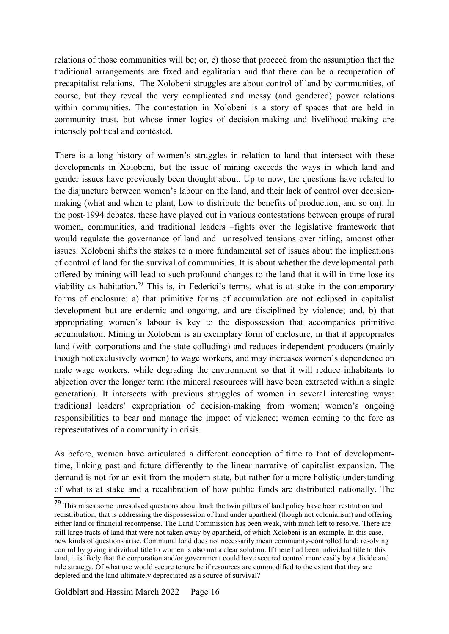relations of those communities will be; or, c) those that proceed from the assumption that the traditional arrangements are fixed and egalitarian and that there can be a recuperation of precapitalist relations. The Xolobeni struggles are about control of land by communities, of course, but they reveal the very complicated and messy (and gendered) power relations within communities. The contestation in Xolobeni is a story of spaces that are held in community trust, but whose inner logics of decision-making and livelihood-making are intensely political and contested.

<span id="page-15-0"></span>There is a long history of women's struggles in relation to land that intersect with these developments in Xolobeni, but the issue of mining exceeds the ways in which land and gender issues have previously been thought about. Up to now, the questions have related to the disjuncture between women's labour on the land, and their lack of control over decisionmaking (what and when to plant, how to distribute the benefits of production, and so on). In the post-1994 debates, these have played out in various contestations between groups of rural women, communities, and traditional leaders –fights over the legislative framework that would regulate the governance of land and unresolved tensions over titling, amonst other issues. Xolobeni shifts the stakes to a more fundamental set of issues about the implications of control of land for the survival of communities. It is about whether the developmental path offered by mining will lead to such profound changes to the land that it will in time lose its viability as habitation.<sup>[79](#page-15-1)</sup> This is, in Federici's terms, what is at stake in the contemporary forms of enclosure: a) that primitive forms of accumulation are not eclipsed in capitalist development but are endemic and ongoing, and are disciplined by violence; and, b) that appropriating women's labour is key to the dispossession that accompanies primitive accumulation. Mining in Xolobeni is an exemplary form of enclosure, in that it appropriates land (with corporations and the state colluding) and reduces independent producers (mainly though not exclusively women) to wage workers, and may increases women's dependence on male wage workers, while degrading the environment so that it will reduce inhabitants to abjection over the longer term (the mineral resources will have been extracted within a single generation). It intersects with previous struggles of women in several interesting ways: traditional leaders' expropriation of decision-making from women; women's ongoing responsibilities to bear and manage the impact of violence; women coming to the fore as representatives of a community in crisis.

As before, women have articulated a different conception of time to that of developmenttime, linking past and future differently to the linear narrative of capitalist expansion. The demand is not for an exit from the modern state, but rather for a more holistic understanding of what is at stake and a recalibration of how public funds are distributed nationally. The

<span id="page-15-1"></span><sup>&</sup>lt;sup>[79](#page-15-0)</sup> This raises some unresolved questions about land: the twin pillars of land policy have been restitution and redistribution, that is addressing the dispossession of land under apartheid (though not colonialism) and offering either land or financial recompense. The Land Commission has been weak, with much left to resolve. There are still large tracts of land that were not taken away by apartheid, of which Xolobeni is an example. In this case, new kinds of questions arise. Communal land does not necessarily mean community-controlled land; resolving control by giving individual title to women is also not a clear solution. If there had been individual title to this land, it is likely that the corporation and/or government could have secured control more easily by a divide and rule strategy. Of what use would secure tenure be if resources are commodified to the extent that they are depleted and the land ultimately depreciated as a source of survival?